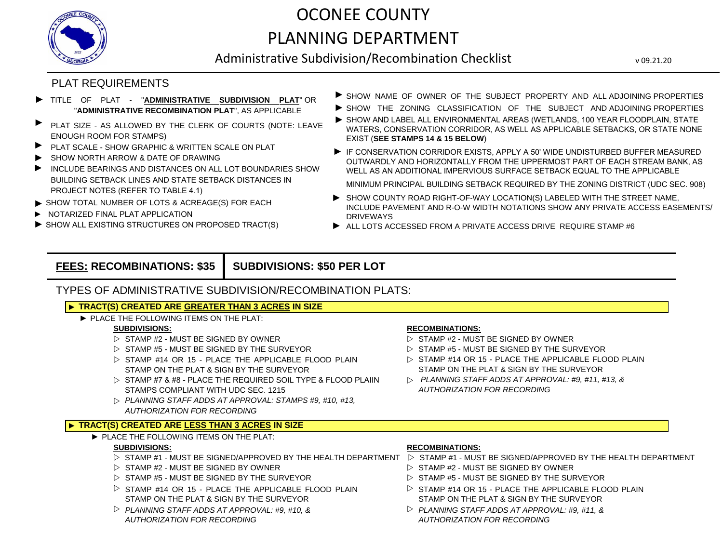

# OCONEE COUNTY PLANNING DEPARTMENT

Administrative Subdivision/Recombination Checklist

v 09.21.20

### PLAT REQUIREMENTS

- ► TITLE OF PLAT - "**ADMINISTRATIVE SUBDIVISION PLAT**" OR "**ADMINISTRATIVE RECOMBINATION PLAT**", AS APPLICABLE
- ► PLAT SIZE - AS ALLOWED BY THE CLERK OF COURTS (NOTE: LEAVE ENOUGH ROOM FOR STAMPS)
- ► PLAT SCALE SHOW GRAPHIC & WRITTEN SCALE ON PLAT
- ► SHOW NORTH ARROW & DATE OF DRAWING
- INCLUDE BEARINGS AND DISTANCES ON ALL LOT BOUNDARIES SHOW BUILDING SETBACK LINES AND STATE SETBACK DISTANCES IN PROJECT NOTES (REFER TO TABLE 4.1) ►
- ► SHOW TOTAL NUMBER OF LOTS & ACREAGE(S) FOR EACH
- ► NOTARIZED FINAL PLAT APPLICATION
- ► SHOW ALL EXISTING STRUCTURES ON PROPOSED TRACT(S)
- ▶ SHOW NAME OF OWNER OF THE SUBJECT PROPERTY AND ALL ADJOINING PROPERTIES
- ▶ SHOW THE ZONING CLASSIFICATION OF THE SUBJECT AND ADJOINING PROPERTIES
- ▶ SHOW AND LABEL ALL ENVIRONMENTAL AREAS (WETLANDS, 100 YEAR FLOODPLAIN, STATE WATERS, CONSERVATION CORRIDOR, AS WELL AS APPLICABLE SETBACKS, OR STATE NONE EXIST (**SEE STAMPS 14 & 15 BELOW**)
- IF CONSERVATION CORRIDOR EXISTS, APPLY A 50' WIDE UNDISTURBED BUFFER MEASURED OUTWARDLY AND HORIZONTALLY FROM THE UPPERMOST PART OF EACH STREAM BANK, AS WELL AS AN ADDITIONAL IMPERVIOUS SURFACE SETBACK EQUAL TO THE APPLICABLE
	- MINIMUM PRINCIPAL BUILDING SETBACK REQUIRED BY THE ZONING DISTRICT (UDC SEC. 908)
- ► SHOW COUNTY ROAD RIGHT-OF-WAY LOCATION(S) LABELED WITH THE STREET NAME, INCLUDE PAVEMENT AND R-O-W WIDTH NOTATIONS SHOW ANY PRIVATE ACCESS EASEMENTS/ DRIVEWAYS
- ► ALL LOTS ACCESSED FROM A PRIVATE ACCESS DRIVE REQUIRE STAMP #6

#### **FEES: RECOMBINATIONS: \$35 SUBDIVISIONS: \$50 PER LOT**

### TYPES OF ADMINISTRATIVE SUBDIVISION/RECOMBINATION PLATS:

#### ► **TRACT(S) CREATED ARE GREATER THAN 3 ACRES IN SIZE**

► PLACE THE FOLLOWING ITEMS ON THE PLAT:

- 
- $\triangleright$   $\:$  STAMP #5 MUST BE SIGNED BY THE SURVEYOR  $\triangleright$
- $\triangleright$  STAMP #14 OR 15 PLACE THE APPLICABLE FLOOD PLAIN  $\triangleright$ STAMP ON THE PLAT & SIGN BY THE SURVEYOR
- $\triangleright$  STAMP #7 & #8 PLACE THE REQUIRED SOIL TYPE & FLOOD PLAIIN  $\triangleright$ STAMPS COMPLIANT WITH UDC SEC. 1215
- w *PLANNING STAFF ADDS AT APPROVAL: STAMPS #9, #10, #13, AUTHORIZATION FOR RECORDING*

#### ► **TRACT(S) CREATED ARE LESS THAN 3 ACRES IN SIZE**

► PLACE THE FOLLOWING ITEMS ON THE PLAT:

- $\triangleright$  STAMP #1 MUST BE SIGNED/APPROVED BY THE HEALTH DEPARTMENT  $\triangleright$  STAMP #1 MUST BE SIGNED/APPROVED BY THE HEALTH DEPARTMENT
- 
- $\triangleright$  STAMP #5 MUST BE SIGNED BY THE SURVEYOR  $\triangleright$  STAMP #5 MUST BE SIGNED BY THE SURVEYOR
- $\triangleright$  STAMP #14 OR 15 PLACE THE APPLICABLE FLOOD PLAIN  $\triangleright$ STAMP ON THE PLAT & SIGN BY THE SURVEYOR
- $\triangleright$  PLANNING STAFF ADDS AT APPROVAL: #9, #10, &  $\triangleright$ *AUTHORIZATION FOR RECORDING*

#### **SUBDIVISIONS: RECOMBINATIONS:**

- $\triangleright$  STAMP #2 MUST BE SIGNED BY OWNER  $\triangleright$  STAMP #2 MUST BE SIGNED BY OWNER
	- $\triangleright$  STAMP #5 MUST BE SIGNED BY THE SURVEYOR
	- $\triangleright$  STAMP #14 OR 15 PLACE THE APPLICABLE FLOOD PLAIN STAMP ON THE PLAT & SIGN BY THE SURVEYOR
	- *PLANNING STAFF ADDS AT APPROVAL: #9, #11, #13, & AUTHORIZATION FOR RECORDING*

#### **SUBDIVISIONS: RECOMBINATIONS:**

- 
- $\triangleright$  STAMP #2 MUST BE SIGNED BY OWNER  $\triangleright$  STAMP #2 MUST BE SIGNED BY OWNER
	-
	- $\triangleright$  STAMP #14 OR 15 PLACE THE APPLICABLE FLOOD PLAIN STAMP ON THE PLAT & SIGN BY THE SURVEYOR
	- *PLANNING STAFF ADDS AT APPROVAL: #9, #11, & AUTHORIZATION FOR RECORDING*